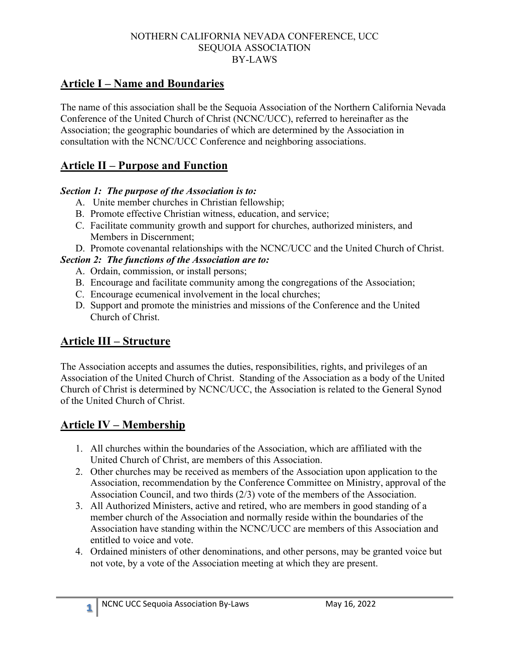## **Article I – Name and Boundaries**

The name of this association shall be the Sequoia Association of the Northern California Nevada Conference of the United Church of Christ (NCNC/UCC), referred to hereinafter as the Association; the geographic boundaries of which are determined by the Association in consultation with the NCNC/UCC Conference and neighboring associations.

## **Article II – Purpose and Function**

#### *Section 1: The purpose of the Association is to:*

- A. Unite member churches in Christian fellowship;
- B. Promote effective Christian witness, education, and service;
- C. Facilitate community growth and support for churches, authorized ministers, and Members in Discernment;
- D. Promote covenantal relationships with the NCNC/UCC and the United Church of Christ.

#### *Section 2: The functions of the Association are to:*

- A. Ordain, commission, or install persons;
- B. Encourage and facilitate community among the congregations of the Association;
- C. Encourage ecumenical involvement in the local churches;
- D. Support and promote the ministries and missions of the Conference and the United Church of Christ.

## **Article III – Structure**

The Association accepts and assumes the duties, responsibilities, rights, and privileges of an Association of the United Church of Christ. Standing of the Association as a body of the United Church of Christ is determined by NCNC/UCC, the Association is related to the General Synod of the United Church of Christ.

## **Article IV – Membership**

- 1. All churches within the boundaries of the Association, which are affiliated with the United Church of Christ, are members of this Association.
- 2. Other churches may be received as members of the Association upon application to the Association, recommendation by the Conference Committee on Ministry, approval of the Association Council, and two thirds (2/3) vote of the members of the Association.
- 3. All Authorized Ministers, active and retired, who are members in good standing of a member church of the Association and normally reside within the boundaries of the Association have standing within the NCNC/UCC are members of this Association and entitled to voice and vote.
- 4. Ordained ministers of other denominations, and other persons, may be granted voice but not vote, by a vote of the Association meeting at which they are present.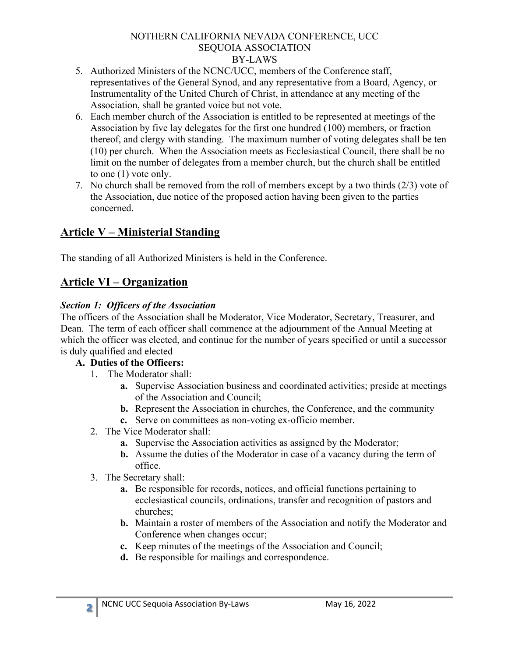- 5. Authorized Ministers of the NCNC/UCC, members of the Conference staff, representatives of the General Synod, and any representative from a Board, Agency, or Instrumentality of the United Church of Christ, in attendance at any meeting of the Association, shall be granted voice but not vote.
- 6. Each member church of the Association is entitled to be represented at meetings of the Association by five lay delegates for the first one hundred (100) members, or fraction thereof, and clergy with standing. The maximum number of voting delegates shall be ten (10) per church. When the Association meets as Ecclesiastical Council, there shall be no limit on the number of delegates from a member church, but the church shall be entitled to one (1) vote only.
- 7. No church shall be removed from the roll of members except by a two thirds (2/3) vote of the Association, due notice of the proposed action having been given to the parties concerned.

# **Article V – Ministerial Standing**

The standing of all Authorized Ministers is held in the Conference.

# **Article VI – Organization**

### *Section 1: Officers of the Association*

The officers of the Association shall be Moderator, Vice Moderator, Secretary, Treasurer, and Dean. The term of each officer shall commence at the adjournment of the Annual Meeting at which the officer was elected, and continue for the number of years specified or until a successor is duly qualified and elected

### **A. Duties of the Officers:**

- 1. The Moderator shall:
	- **a.** Supervise Association business and coordinated activities; preside at meetings of the Association and Council;
	- **b.** Represent the Association in churches, the Conference, and the community
	- **c.** Serve on committees as non-voting ex-officio member.
- 2. The Vice Moderator shall:
	- **a.** Supervise the Association activities as assigned by the Moderator;
	- **b.** Assume the duties of the Moderator in case of a vacancy during the term of office.
- 3. The Secretary shall:
	- **a.** Be responsible for records, notices, and official functions pertaining to ecclesiastical councils, ordinations, transfer and recognition of pastors and churches;
	- **b.** Maintain a roster of members of the Association and notify the Moderator and Conference when changes occur;
	- **c.** Keep minutes of the meetings of the Association and Council;
	- **d.** Be responsible for mailings and correspondence.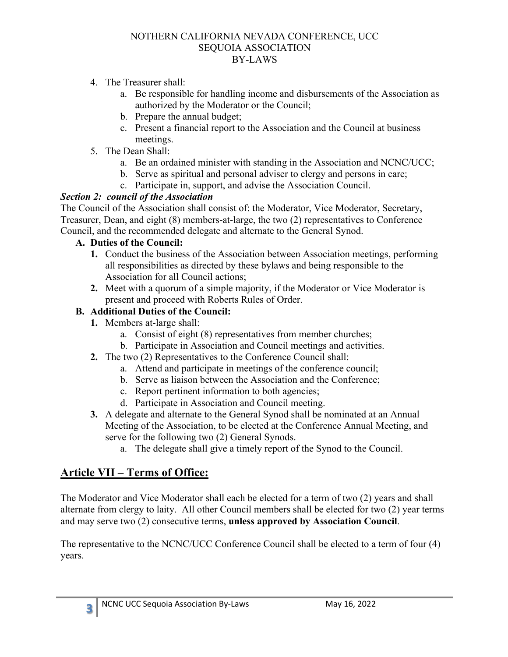- 4. The Treasurer shall:
	- a. Be responsible for handling income and disbursements of the Association as authorized by the Moderator or the Council;
	- b. Prepare the annual budget;
	- c. Present a financial report to the Association and the Council at business meetings.
- 5. The Dean Shall:
	- a. Be an ordained minister with standing in the Association and NCNC/UCC;
	- b. Serve as spiritual and personal adviser to clergy and persons in care;
	- c. Participate in, support, and advise the Association Council.

#### *Section 2: council of the Association*

The Council of the Association shall consist of: the Moderator, Vice Moderator, Secretary, Treasurer, Dean, and eight (8) members-at-large, the two (2) representatives to Conference Council, and the recommended delegate and alternate to the General Synod.

#### **A. Duties of the Council:**

- **1.** Conduct the business of the Association between Association meetings, performing all responsibilities as directed by these bylaws and being responsible to the Association for all Council actions;
- **2.** Meet with a quorum of a simple majority, if the Moderator or Vice Moderator is present and proceed with Roberts Rules of Order.

#### **B. Additional Duties of the Council:**

- **1.** Members at-large shall:
	- a. Consist of eight (8) representatives from member churches;
	- b. Participate in Association and Council meetings and activities.
- **2.** The two (2) Representatives to the Conference Council shall:
	- a. Attend and participate in meetings of the conference council;
	- b. Serve as liaison between the Association and the Conference;
	- c. Report pertinent information to both agencies;
	- d. Participate in Association and Council meeting.
- **3.** A delegate and alternate to the General Synod shall be nominated at an Annual Meeting of the Association, to be elected at the Conference Annual Meeting, and serve for the following two (2) General Synods.
	- a. The delegate shall give a timely report of the Synod to the Council.

## **Article VII – Terms of Office:**

The Moderator and Vice Moderator shall each be elected for a term of two (2) years and shall alternate from clergy to laity. All other Council members shall be elected for two (2) year terms and may serve two (2) consecutive terms, **unless approved by Association Council**.

The representative to the NCNC/UCC Conference Council shall be elected to a term of four (4) years.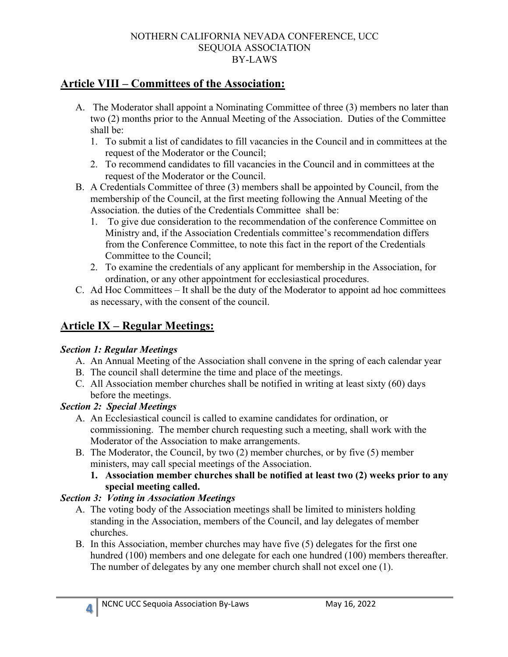### **Article VIII – Committees of the Association:**

- A. The Moderator shall appoint a Nominating Committee of three (3) members no later than two (2) months prior to the Annual Meeting of the Association. Duties of the Committee shall be:
	- 1. To submit a list of candidates to fill vacancies in the Council and in committees at the request of the Moderator or the Council;
	- 2. To recommend candidates to fill vacancies in the Council and in committees at the request of the Moderator or the Council.
- B. A Credentials Committee of three (3) members shall be appointed by Council, from the membership of the Council, at the first meeting following the Annual Meeting of the Association. the duties of the Credentials Committee shall be:
	- 1. To give due consideration to the recommendation of the conference Committee on Ministry and, if the Association Credentials committee's recommendation differs from the Conference Committee, to note this fact in the report of the Credentials Committee to the Council;
	- 2. To examine the credentials of any applicant for membership in the Association, for ordination, or any other appointment for ecclesiastical procedures.
- C. Ad Hoc Committees It shall be the duty of the Moderator to appoint ad hoc committees as necessary, with the consent of the council.

# **Article IX – Regular Meetings:**

#### *Section 1: Regular Meetings*

- A. An Annual Meeting of the Association shall convene in the spring of each calendar year
- B. The council shall determine the time and place of the meetings.
- C. All Association member churches shall be notified in writing at least sixty (60) days before the meetings.

### *Section 2: Special Meetings*

- A. An Ecclesiastical council is called to examine candidates for ordination, or commissioning. The member church requesting such a meeting, shall work with the Moderator of the Association to make arrangements.
- B. The Moderator, the Council, by two (2) member churches, or by five (5) member ministers, may call special meetings of the Association.
	- **1. Association member churches shall be notified at least two (2) weeks prior to any special meeting called.**

### *Section 3: Voting in Association Meetings*

- A. The voting body of the Association meetings shall be limited to ministers holding standing in the Association, members of the Council, and lay delegates of member churches.
- B. In this Association, member churches may have five (5) delegates for the first one hundred (100) members and one delegate for each one hundred (100) members thereafter. The number of delegates by any one member church shall not excel one (1).